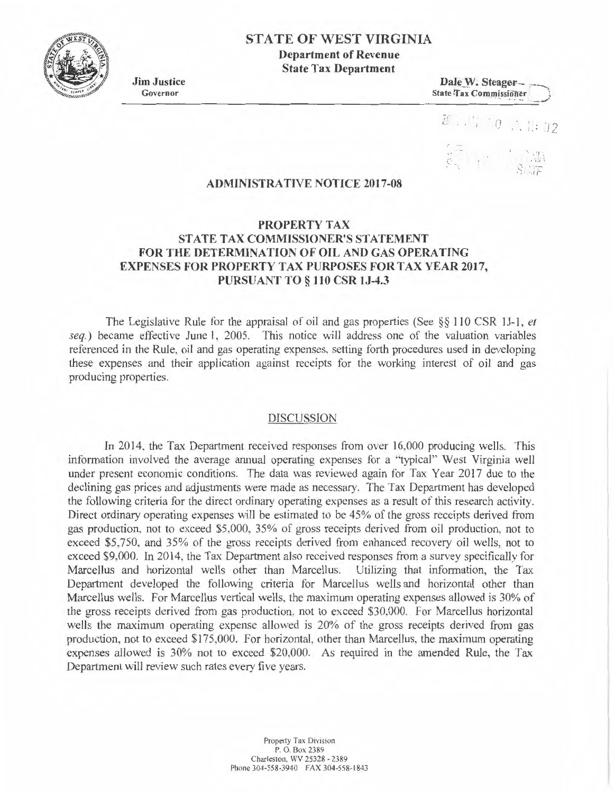

# **STATE OF WEST VIRGINIA**

**Department of Revenue State Tax Department** 

**Jim Justice**  Governor

**Dale W. Steager--**<br>State Tax Commissioner

( -

**<sup>f</sup> \** I • I **f l** " L

.. '

## **ADMINISTRATIVE NOTICE 2017-08**

## **PROPERTY TAX STATE TAX COMMISSIONER'S STATEMENT FOR THE DETERMINATION OF OIL AND GAS OPERA TING EXPENSES FOR PROPERTY TAX PURPOSES FOR TAX YEAR 2017, PURSUANT TO§ 110 CSR lJ-4.3**

The Legislative Rule for the appraisal of oil and gas properties (See §§ 110 CSR JJ-1, *et*  seq.) became effective June 1, 2005. This notice will address one of the valuation variables referenced in the Rule, oil and gas operating expenses, setting forth procedures used in developing these expenses and their application against receipts for the working interest of oil and gas producing properties.

#### DISCUSSION

In 2014, the Tax Department received responses from over 16,000 producing wells. This information involved the average annual operating expenses for a "typical" West Virginia well under present economic conditions. The data was reviewed again for Tax Year 2017 due to the declining gas prices and adjustments were made as necessary. The Tax Department has developed the following criteria for the direct ordinary operating expenses as a result of this research activity. Direct ordinary operating expenses will be estimated to be 45% of the gross receipts derived from gas production, not to exceed \$5,000, 35% of gross receipts derived from oil production, not to exceed \$5,750, and 35% of the gross receipts derived from enhanced recovery oil wells, not to exceed \$9,000. In 2014, the Tax Department also received responses from a survey specifically for Marcellus and horizontal wells other than Marcellus. Utilizing that information, the Tax Department developed the following criteria for Marcellus wells and horizontal other than Marcellus wells. For Marcellus vertical wells, the maximum operating expenses allowed is 30% of the gross receipts derived from gas production, not to exceed \$30,000. For Marcellus horizontal wells the maximum operating expense allowed is 20% of the gross receipts derived from gas production, not to exceed \$175,000. For horizontal, other than Marcellus, the maximum operating expenses allowed is 30% not to exceed \$20,000. As required in the amended Rule, the Tax Department will review such rates every five years.

> Property Tax Division P. O. Box 2389 Charleston, WV 25328 - 2389 Phone 304-558-3940 FAX 304-558-1843